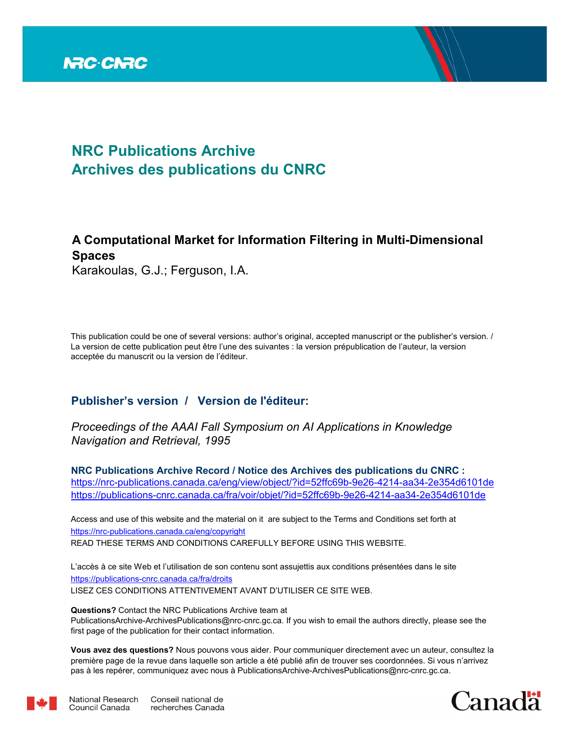

# **NRC Publications Archive Archives des publications du CNRC**

# **A Computational Market for Information Filtering in Multi-Dimensional Spaces**

Karakoulas, G.J.; Ferguson, I.A.

This publication could be one of several versions: author's original, accepted manuscript or the publisher's version. / La version de cette publication peut être l'une des suivantes : la version prépublication de l'auteur, la version acceptée du manuscrit ou la version de l'éditeur.

# **Publisher's version / Version de l'éditeur:**

*Proceedings of the AAAI Fall Symposium on AI Applications in Knowledge Navigation and Retrieval, 1995*

**NRC Publications Archive Record / Notice des Archives des publications du CNRC :** https://nrc-publications.canada.ca/eng/view/object/?id=52ffc69b-9e26-4214-aa34-2e354d6101de https://publications-cnrc.canada.ca/fra/voir/objet/?id=52ffc69b-9e26-4214-aa34-2e354d6101de

READ THESE TERMS AND CONDITIONS CAREFULLY BEFORE USING THIS WEBSITE. https://nrc-publications.canada.ca/eng/copyright Access and use of this website and the material on it are subject to the Terms and Conditions set forth at

https://publications-cnrc.canada.ca/fra/droits L'accès à ce site Web et l'utilisation de son contenu sont assujettis aux conditions présentées dans le site LISEZ CES CONDITIONS ATTENTIVEMENT AVANT D'UTILISER CE SITE WEB.

**Questions?** Contact the NRC Publications Archive team at PublicationsArchive-ArchivesPublications@nrc-cnrc.gc.ca. If you wish to email the authors directly, please see the first page of the publication for their contact information.

**Vous avez des questions?** Nous pouvons vous aider. Pour communiquer directement avec un auteur, consultez la première page de la revue dans laquelle son article a été publié afin de trouver ses coordonnées. Si vous n'arrivez pas à les repérer, communiquez avec nous à PublicationsArchive-ArchivesPublications@nrc-cnrc.gc.ca.



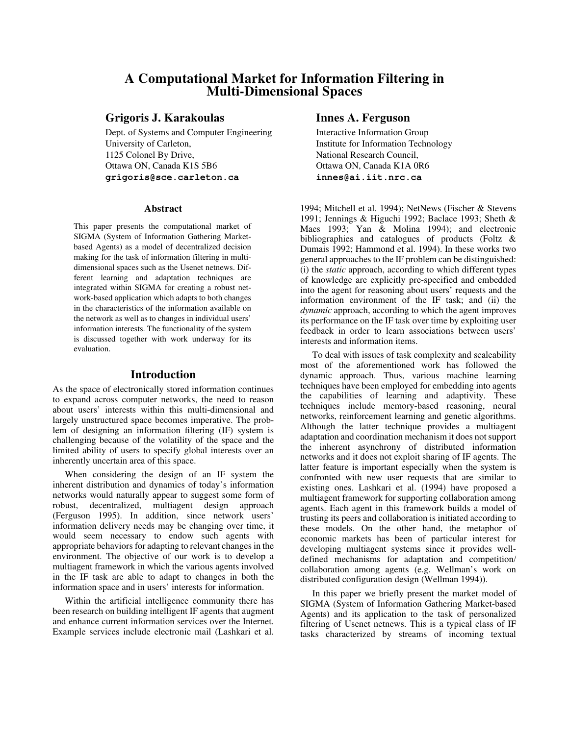# **A Computational Market for Information Filtering in Multi-Dimensional Spaces**

## **Grigoris J. Karakoulas Innes A. Ferguson**

Dept. of Systems and Computer Engineering Interactive Information Group University of Carleton, **Institute for Information Technology** 1125 Colonel By Drive, National Research Council, Ottawa ON, Canada K1S 5B6 Ottawa ON, Canada K1A 0R6 **grigoris@sce.carleton.ca innes@ai.iit.nrc.ca**

### **Abstract**

This paper presents the computational market of SIGMA (System of Information Gathering Marketbased Agents) as a model of decentralized decision making for the task of information filtering in multidimensional spaces such as the Usenet netnews. Different learning and adaptation techniques are integrated within SIGMA for creating a robust network-based application which adapts to both changes in the characteristics of the information available on the network as well as to changes in individual users' information interests. The functionality of the system is discussed together with work underway for its evaluation.

### **Introduction**

As the space of electronically stored information continues to expand across computer networks, the need to reason about users' interests within this multi-dimensional and largely unstructured space becomes imperative. The problem of designing an information filtering (IF) system is challenging because of the volatility of the space and the limited ability of users to specify global interests over an inherently uncertain area of this space.

When considering the design of an IF system the inherent distribution and dynamics of today's information networks would naturally appear to suggest some form of robust, decentralized, multiagent design approach (Ferguson 1995). In addition, since network users' information delivery needs may be changing over time, it would seem necessary to endow such agents with appropriate behaviors for adapting to relevant changes in the environment. The objective of our work is to develop a multiagent framework in which the various agents involved in the IF task are able to adapt to changes in both the information space and in users' interests for information.

Within the artificial intelligence community there has been research on building intelligent IF agents that augment and enhance current information services over the Internet. Example services include electronic mail (Lashkari et al.

1994; Mitchell et al. 1994); NetNews (Fischer & Stevens 1991; Jennings & Higuchi 1992; Baclace 1993; Sheth & Maes 1993; Yan & Molina 1994); and electronic bibliographies and catalogues of products (Foltz & Dumais 1992; Hammond et al. 1994). In these works two general approaches to the IF problem can be distinguished: (i) the *static* approach, according to which different types of knowledge are explicitly pre-specified and embedded into the agent for reasoning about users' requests and the information environment of the IF task; and (ii) the *dynamic* approach, according to which the agent improves its performance on the IF task over time by exploiting user feedback in order to learn associations between users' interests and information items.

To deal with issues of task complexity and scaleability most of the aforementioned work has followed the dynamic approach. Thus, various machine learning techniques have been employed for embedding into agents the capabilities of learning and adaptivity. These techniques include memory-based reasoning, neural networks, reinforcement learning and genetic algorithms. Although the latter technique provides a multiagent adaptation and coordination mechanism it does not support the inherent asynchrony of distributed information networks and it does not exploit sharing of IF agents. The latter feature is important especially when the system is confronted with new user requests that are similar to existing ones. Lashkari et al. (1994) have proposed a multiagent framework for supporting collaboration among agents. Each agent in this framework builds a model of trusting its peers and collaboration is initiated according to these models. On the other hand, the metaphor of economic markets has been of particular interest for developing multiagent systems since it provides welldefined mechanisms for adaptation and competition/ collaboration among agents (e.g. Wellman's work on distributed configuration design (Wellman 1994)).

In this paper we briefly present the market model of SIGMA (System of Information Gathering Market-based Agents) and its application to the task of personalized filtering of Usenet netnews. This is a typical class of IF tasks characterized by streams of incoming textual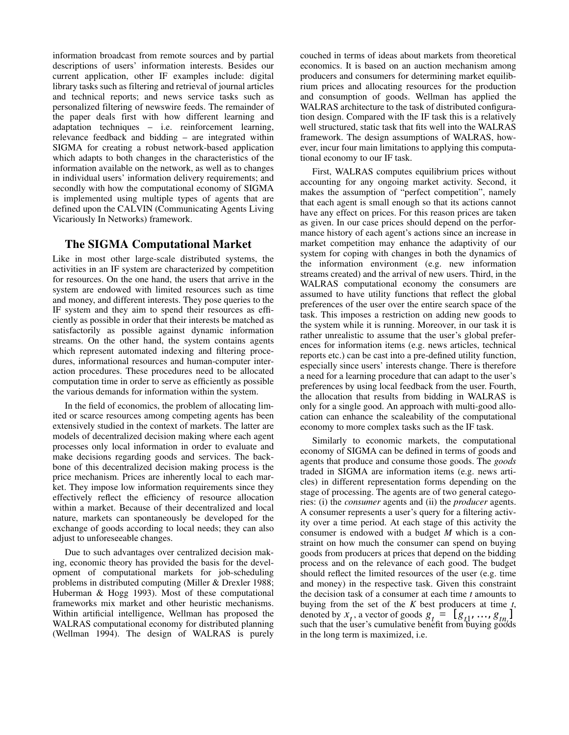information broadcast from remote sources and by partial descriptions of users' information interests. Besides our current application, other IF examples include: digital library tasks such as filtering and retrieval of journal articles and technical reports; and news service tasks such as personalized filtering of newswire feeds. The remainder of the paper deals first with how different learning and adaptation techniques – i.e. reinforcement learning, relevance feedback and bidding – are integrated within SIGMA for creating a robust network-based application which adapts to both changes in the characteristics of the information available on the network, as well as to changes in individual users' information delivery requirements; and secondly with how the computational economy of SIGMA is implemented using multiple types of agents that are defined upon the CALVIN (Communicating Agents Living Vicariously In Networks) framework.

# **The SIGMA Computational Market**

Like in most other large-scale distributed systems, the activities in an IF system are characterized by competition for resources. On the one hand, the users that arrive in the system are endowed with limited resources such as time and money, and different interests. They pose queries to the IF system and they aim to spend their resources as efficiently as possible in order that their interests be matched as satisfactorily as possible against dynamic information streams. On the other hand, the system contains agents which represent automated indexing and filtering procedures, informational resources and human-computer interaction procedures. These procedures need to be allocated computation time in order to serve as efficiently as possible the various demands for information within the system.

In the field of economics, the problem of allocating limited or scarce resources among competing agents has been extensively studied in the context of markets. The latter are models of decentralized decision making where each agent processes only local information in order to evaluate and make decisions regarding goods and services. The backbone of this decentralized decision making process is the price mechanism. Prices are inherently local to each market. They impose low information requirements since they effectively reflect the efficiency of resource allocation within a market. Because of their decentralized and local nature, markets can spontaneously be developed for the exchange of goods according to local needs; they can also adjust to unforeseeable changes.

Due to such advantages over centralized decision making, economic theory has provided the basis for the development of computational markets for job-scheduling problems in distributed computing (Miller & Drexler 1988; Huberman & Hogg 1993). Most of these computational frameworks mix market and other heuristic mechanisms. Within artificial intelligence, Wellman has proposed the WALRAS computational economy for distributed planning (Wellman 1994). The design of WALRAS is purely couched in terms of ideas about markets from theoretical economics. It is based on an auction mechanism among producers and consumers for determining market equilibrium prices and allocating resources for the production and consumption of goods. Wellman has applied the WALRAS architecture to the task of distributed configuration design. Compared with the IF task this is a relatively well structured, static task that fits well into the WALRAS framework. The design assumptions of WALRAS, however, incur four main limitations to applying this computational economy to our IF task.

First, WALRAS computes equilibrium prices without accounting for any ongoing market activity. Second, it makes the assumption of "perfect competition", namely that each agent is small enough so that its actions cannot have any effect on prices. For this reason prices are taken as given. In our case prices should depend on the performance history of each agent's actions since an increase in market competition may enhance the adaptivity of our system for coping with changes in both the dynamics of the information environment (e.g. new information streams created) and the arrival of new users. Third, in the WALRAS computational economy the consumers are assumed to have utility functions that reflect the global preferences of the user over the entire search space of the task. This imposes a restriction on adding new goods to the system while it is running. Moreover, in our task it is rather unrealistic to assume that the user's global preferences for information items (e.g. news articles, technical reports etc.) can be cast into a pre-defined utility function, especially since users' interests change. There is therefore a need for a learning procedure that can adapt to the user's preferences by using local feedback from the user. Fourth, the allocation that results from bidding in WALRAS is only for a single good. An approach with multi-good allocation can enhance the scaleability of the computational economy to more complex tasks such as the IF task.

Similarly to economic markets, the computational economy of SIGMA can be defined in terms of goods and agents that produce and consume those goods. The *goods* traded in SIGMA are information items (e.g. news articles) in different representation forms depending on the stage of processing. The agents are of two general categories: (i) the *consumer* agents and (ii) the *producer* agents. A consumer represents a user's query for a filtering activity over a time period. At each stage of this activity the consumer is endowed with a budget *M* which is a constraint on how much the consumer can spend on buying goods from producers at prices that depend on the bidding process and on the relevance of each good. The budget should reflect the limited resources of the user (e.g. time and money) in the respective task. Given this constraint the decision task of a consumer at each time *t* amounts to buying from the set of the *K* best producers at time *t*, denoted by  $x_t$ , a vector of goods  $g_t = [g_{t1}, ..., g_{tn}]$ such that the user's cumulative benefit from buying goods in the long term is maximized, i.e.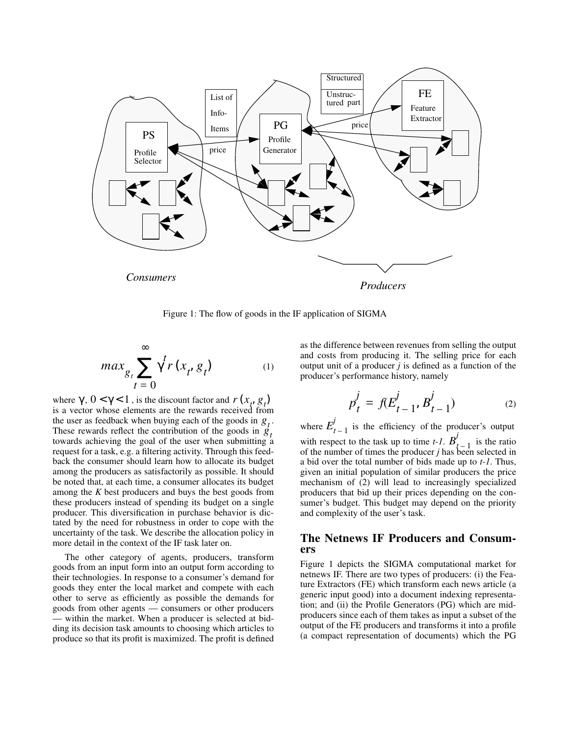

Figure 1: The flow of goods in the IF application of SIGMA

$$
max_{g_t} \sum_{t=0}^{\infty} \gamma^t r(x_t, g_t)
$$
 (1)

where  $\gamma$ ,  $0 < \gamma < 1$ , is the discount factor and  $r(x_t, g_t)$ is a vector whose elements are the rewards received from the user as feedback when buying each of the goods in  $g_t$ . These rewards reflect the contribution of the goods in  $g_t$ towards achieving the goal of the user when submitting a request for a task, e.g. a filtering activity. Through this feedback the consumer should learn how to allocate its budget among the producers as satisfactorily as possible. It should be noted that, at each time, a consumer allocates its budget among the *K* best producers and buys the best goods from these producers instead of spending its budget on a single producer. This diversification in purchase behavior is dictated by the need for robustness in order to cope with the uncertainty of the task. We describe the allocation policy in more detail in the context of the IF task later on.

The other category of agents, producers, transform goods from an input form into an output form according to their technologies. In response to a consumer's demand for goods they enter the local market and compete with each other to serve as efficiently as possible the demands for goods from other agents — consumers or other producers — within the market. When a producer is selected at bidding its decision task amounts to choosing which articles to produce so that its profit is maximized. The profit is defined

as the difference between revenues from selling the output and costs from producing it. The selling price for each output unit of a producer  $j$  is defined as a function of the producer's performance history, namely

$$
p_t^j = f(E_{t-1}^j, B_{t-1}^j)
$$
 (2)

where  $E_{t-1}^{j}$  is the efficiency of the producer's output with respect to the task up to time  $t-1$ .  $B'_{t-1}$  is the ratio with respect to the task up to time *t*-1.  $B^{j}_{t-1}$  is the ratio of the number of times the producer *j* has been selected in a bid over the total number of bids made up to *t-1*. Thus, given an initial population of similar producers the price mechanism of (2) will lead to increasingly specialized producers that bid up their prices depending on the consumer's budget. This budget may depend on the priority and complexity of the user's task.

## **The Netnews IF Producers and Consumers**

Figure 1 depicts the SIGMA computational market for netnews IF. There are two types of producers: (i) the Feature Extractors (FE) which transform each news article (a generic input good) into a document indexing representation; and (ii) the Profile Generators (PG) which are midproducers since each of them takes as input a subset of the output of the FE producers and transforms it into a profile (a compact representation of documents) which the PG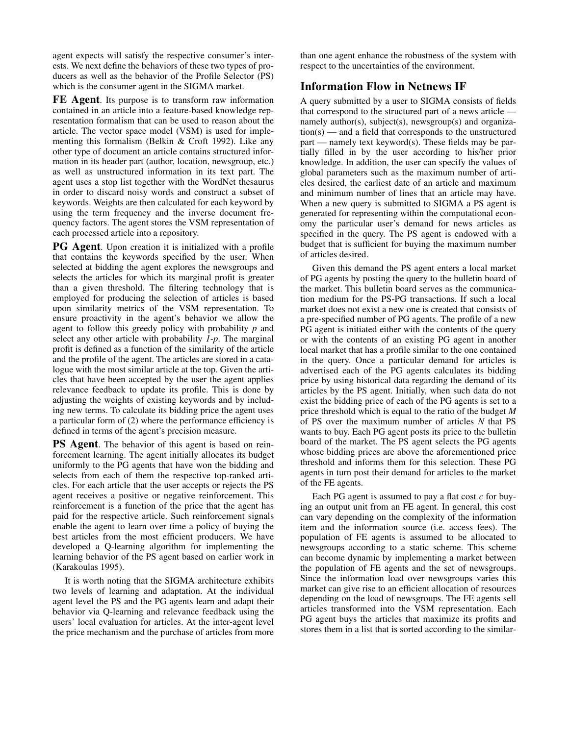agent expects will satisfy the respective consumer's interests. We next define the behaviors of these two types of producers as well as the behavior of the Profile Selector (PS) which is the consumer agent in the SIGMA market.

**FE Agent**. Its purpose is to transform raw information contained in an article into a feature-based knowledge representation formalism that can be used to reason about the article. The vector space model (VSM) is used for implementing this formalism (Belkin & Croft 1992). Like any other type of document an article contains structured information in its header part (author, location, newsgroup, etc.) as well as unstructured information in its text part. The agent uses a stop list together with the WordNet thesaurus in order to discard noisy words and construct a subset of keywords. Weights are then calculated for each keyword by using the term frequency and the inverse document frequency factors. The agent stores the VSM representation of each processed article into a repository.

**PG Agent**. Upon creation it is initialized with a profile that contains the keywords specified by the user. When selected at bidding the agent explores the newsgroups and selects the articles for which its marginal profit is greater than a given threshold. The filtering technology that is employed for producing the selection of articles is based upon similarity metrics of the VSM representation. To ensure proactivity in the agent's behavior we allow the agent to follow this greedy policy with probability *p* and select any other article with probability *1-p*. The marginal profit is defined as a function of the similarity of the article and the profile of the agent. The articles are stored in a catalogue with the most similar article at the top. Given the articles that have been accepted by the user the agent applies relevance feedback to update its profile. This is done by adjusting the weights of existing keywords and by including new terms. To calculate its bidding price the agent uses a particular form of (2) where the performance efficiency is defined in terms of the agent's precision measure.

**PS Agent**. The behavior of this agent is based on reinforcement learning. The agent initially allocates its budget uniformly to the PG agents that have won the bidding and selects from each of them the respective top-ranked articles. For each article that the user accepts or rejects the PS agent receives a positive or negative reinforcement. This reinforcement is a function of the price that the agent has paid for the respective article. Such reinforcement signals enable the agent to learn over time a policy of buying the best articles from the most efficient producers. We have developed a Q-learning algorithm for implementing the learning behavior of the PS agent based on earlier work in (Karakoulas 1995).

It is worth noting that the SIGMA architecture exhibits two levels of learning and adaptation. At the individual agent level the PS and the PG agents learn and adapt their behavior via Q-learning and relevance feedback using the users' local evaluation for articles. At the inter-agent level the price mechanism and the purchase of articles from more than one agent enhance the robustness of the system with respect to the uncertainties of the environment.

# **Information Flow in Netnews IF**

A query submitted by a user to SIGMA consists of fields that correspond to the structured part of a news article namely author(s), subject(s), newsgroup(s) and organization(s) — and a field that corresponds to the unstructured part — namely text keyword(s). These fields may be partially filled in by the user according to his/her prior knowledge. In addition, the user can specify the values of global parameters such as the maximum number of articles desired, the earliest date of an article and maximum and minimum number of lines that an article may have. When a new query is submitted to SIGMA a PS agent is generated for representing within the computational economy the particular user's demand for news articles as specified in the query. The PS agent is endowed with a budget that is sufficient for buying the maximum number of articles desired.

Given this demand the PS agent enters a local market of PG agents by posting the query to the bulletin board of the market. This bulletin board serves as the communication medium for the PS-PG transactions. If such a local market does not exist a new one is created that consists of a pre-specified number of PG agents. The profile of a new PG agent is initiated either with the contents of the query or with the contents of an existing PG agent in another local market that has a profile similar to the one contained in the query. Once a particular demand for articles is advertised each of the PG agents calculates its bidding price by using historical data regarding the demand of its articles by the PS agent. Initially, when such data do not exist the bidding price of each of the PG agents is set to a price threshold which is equal to the ratio of the budget *M* of PS over the maximum number of articles *N* that PS wants to buy. Each PG agent posts its price to the bulletin board of the market. The PS agent selects the PG agents whose bidding prices are above the aforementioned price threshold and informs them for this selection. These PG agents in turn post their demand for articles to the market of the FE agents.

Each PG agent is assumed to pay a flat cost *c* for buying an output unit from an FE agent. In general, this cost can vary depending on the complexity of the information item and the information source (i.e. access fees). The population of FE agents is assumed to be allocated to newsgroups according to a static scheme. This scheme can become dynamic by implementing a market between the population of FE agents and the set of newsgroups. Since the information load over newsgroups varies this market can give rise to an efficient allocation of resources depending on the load of newsgroups. The FE agents sell articles transformed into the VSM representation. Each PG agent buys the articles that maximize its profits and stores them in a list that is sorted according to the similar-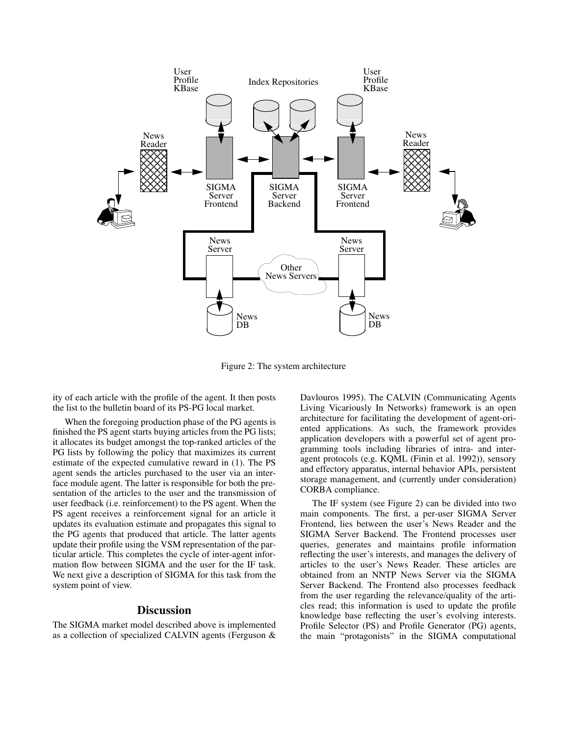

Figure 2: The system architecture

ity of each article with the profile of the agent. It then posts the list to the bulletin board of its PS-PG local market.

When the foregoing production phase of the PG agents is finished the PS agent starts buying articles from the PG lists; it allocates its budget amongst the top-ranked articles of the PG lists by following the policy that maximizes its current estimate of the expected cumulative reward in (1). The PS agent sends the articles purchased to the user via an interface module agent. The latter is responsible for both the presentation of the articles to the user and the transmission of user feedback (i.e. reinforcement) to the PS agent. When the PS agent receives a reinforcement signal for an article it updates its evaluation estimate and propagates this signal to the PG agents that produced that article. The latter agents update their profile using the VSM representation of the particular article. This completes the cycle of inter-agent information flow between SIGMA and the user for the IF task. We next give a description of SIGMA for this task from the system point of view.

### **Discussion**

The SIGMA market model described above is implemented as a collection of specialized CALVIN agents (Ferguson & Davlouros 1995). The CALVIN (Communicating Agents Living Vicariously In Networks) framework is an open architecture for facilitating the development of agent-oriented applications. As such, the framework provides application developers with a powerful set of agent programming tools including libraries of intra- and interagent protocols (e.g. KQML (Finin et al. 1992)), sensory and effectory apparatus, internal behavior APIs, persistent storage management, and (currently under consideration) CORBA compliance.

The IF system (see Figure 2) can be divided into two main components. The first, a per-user SIGMA Server Frontend, lies between the user's News Reader and the SIGMA Server Backend. The Frontend processes user queries, generates and maintains profile information reflecting the user's interests, and manages the delivery of articles to the user's News Reader. These articles are obtained from an NNTP News Server via the SIGMA Server Backend. The Frontend also processes feedback from the user regarding the relevance/quality of the articles read; this information is used to update the profile knowledge base reflecting the user's evolving interests. Profile Selector (PS) and Profile Generator (PG) agents, the main "protagonists" in the SIGMA computational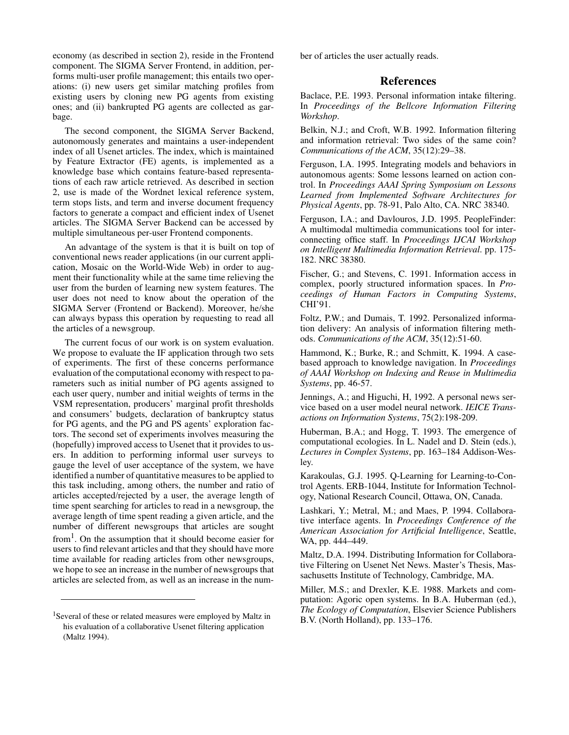economy (as described in section 2), reside in the Frontend component. The SIGMA Server Frontend, in addition, performs multi-user profile management; this entails two operations: (i) new users get similar matching profiles from existing users by cloning new PG agents from existing ones; and (ii) bankrupted PG agents are collected as garbage.

The second component, the SIGMA Server Backend, autonomously generates and maintains a user-independent index of all Usenet articles. The index, which is maintained by Feature Extractor (FE) agents, is implemented as a knowledge base which contains feature-based representations of each raw article retrieved. As described in section 2, use is made of the Wordnet lexical reference system, term stops lists, and term and inverse document frequency factors to generate a compact and efficient index of Usenet articles. The SIGMA Server Backend can be accessed by multiple simultaneous per-user Frontend components.

An advantage of the system is that it is built on top of conventional news reader applications (in our current application, Mosaic on the World-Wide Web) in order to augment their functionality while at the same time relieving the user from the burden of learning new system features. The user does not need to know about the operation of the SIGMA Server (Frontend or Backend). Moreover, he/she can always bypass this operation by requesting to read all the articles of a newsgroup.

The current focus of our work is on system evaluation. We propose to evaluate the IF application through two sets of experiments. The first of these concerns performance evaluation of the computational economy with respect to parameters such as initial number of PG agents assigned to each user query, number and initial weights of terms in the VSM representation, producers' marginal profit thresholds and consumers' budgets, declaration of bankruptcy status for PG agents, and the PG and PS agents' exploration factors. The second set of experiments involves measuring the (hopefully) improved access to Usenet that it provides to users. In addition to performing informal user surveys to gauge the level of user acceptance of the system, we have identified a number of quantitative measures to be applied to this task including, among others, the number and ratio of articles accepted/rejected by a user, the average length of time spent searching for articles to read in a newsgroup, the average length of time spent reading a given article, and the number of different newsgroups that articles are sought

from<sup>1</sup>. On the assumption that it should become easier for users to find relevant articles and that they should have more time available for reading articles from other newsgroups, we hope to see an increase in the number of newsgroups that articles are selected from, as well as an increase in the number of articles the user actually reads.

## **References**

Baclace, P.E. 1993. Personal information intake filtering. In *Proceedings of the Bellcore Information Filtering Workshop*.

Belkin, N.J.; and Croft, W.B. 1992. Information filtering and information retrieval: Two sides of the same coin? *Communications of the ACM*, 35(12):29–38.

Ferguson, I.A. 1995. Integrating models and behaviors in autonomous agents: Some lessons learned on action control. In *Proceedings AAAI Spring Symposium on Lessons Learned from Implemented Software Architectures for Physical Agents*, pp. 78-91, Palo Alto, CA. NRC 38340.

Ferguson, I.A.; and Davlouros, J.D. 1995. PeopleFinder: A multimodal multimedia communications tool for interconnecting office staff. In *Proceedings IJCAI Workshop on Intelligent Multimedia Information Retrieval*. pp. 175- 182. NRC 38380.

Fischer, G.; and Stevens, C. 1991. Information access in complex, poorly structured information spaces. In *Proceedings of Human Factors in Computing Systems*, CHI'91.

Foltz, P.W.; and Dumais, T. 1992. Personalized information delivery: An analysis of information filtering methods. *Communications of the ACM*, 35(12):51-60.

Hammond, K.; Burke, R.; and Schmitt, K. 1994. A casebased approach to knowledge navigation. In *Proceedings of AAAI Workshop on Indexing and Reuse in Multimedia Systems*, pp. 46-57.

Jennings, A.; and Higuchi, H, 1992. A personal news service based on a user model neural network. *IEICE Transactions on Information Systems*, 75(2):198-209.

Huberman, B.A.; and Hogg, T. 1993. The emergence of computational ecologies. In L. Nadel and D. Stein (eds.), *Lectures in Complex Systems*, pp. 163–184 Addison-Wesley.

Karakoulas, G.J. 1995. Q-Learning for Learning-to-Control Agents. ERB-1044, Institute for Information Technology, National Research Council, Ottawa, ON, Canada.

Lashkari, Y.; Metral, M.; and Maes, P. 1994. Collaborative interface agents. In *Proceedings Conference of the American Association for Artificial Intelligence*, Seattle, WA, pp. 444–449.

Maltz, D.A. 1994. Distributing Information for Collaborative Filtering on Usenet Net News. Master's Thesis, Massachusetts Institute of Technology, Cambridge, MA.

Miller, M.S.; and Drexler, K.E. 1988. Markets and computation: Agoric open systems. In B.A. Huberman (ed.), *The Ecology of Computation*, Elsevier Science Publishers B.V. (North Holland), pp. 133–176.

<sup>&</sup>lt;sup>1</sup>Several of these or related measures were employed by Maltz in his evaluation of a collaborative Usenet filtering application (Maltz 1994).